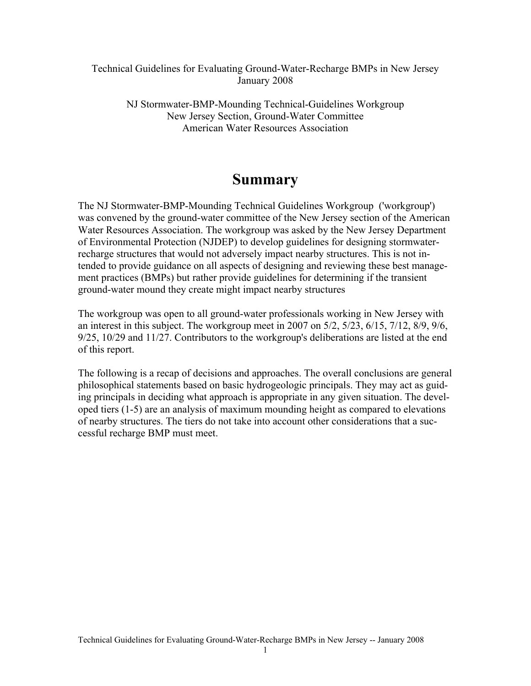#### Technical Guidelines for Evaluating Ground-Water-Recharge BMPs in New Jersey January 2008

NJ Stormwater-BMP-Mounding Technical-Guidelines Workgroup New Jersey Section, Ground-Water Committee American Water Resources Association

#### **Summary**

The NJ Stormwater-BMP-Mounding Technical Guidelines Workgroup ('workgroup') was convened by the ground-water committee of the New Jersey section of the American Water Resources Association. The workgroup was asked by the New Jersey Department of Environmental Protection (NJDEP) to develop guidelines for designing stormwaterrecharge structures that would not adversely impact nearby structures. This is not intended to provide guidance on all aspects of designing and reviewing these best management practices (BMPs) but rather provide guidelines for determining if the transient ground-water mound they create might impact nearby structures

The workgroup was open to all ground-water professionals working in New Jersey with an interest in this subject. The workgroup meet in 2007 on  $5/2$ ,  $5/23$ ,  $6/15$ ,  $7/12$ ,  $8/9$ ,  $9/6$ , 9/25, 10/29 and 11/27. Contributors to the workgroup's deliberations are listed at the end of this report.

The following is a recap of decisions and approaches. The overall conclusions are general philosophical statements based on basic hydrogeologic principals. They may act as guiding principals in deciding what approach is appropriate in any given situation. The developed tiers (1-5) are an analysis of maximum mounding height as compared to elevations of nearby structures. The tiers do not take into account other considerations that a successful recharge BMP must meet.

1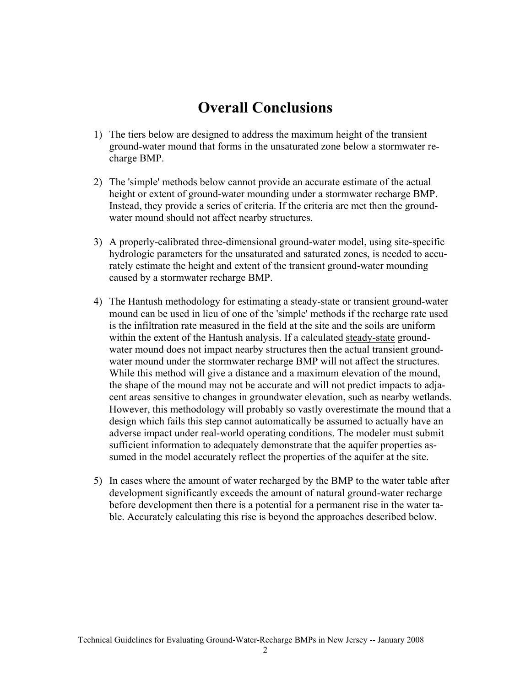## **Overall Conclusions**

- 1) The tiers below are designed to address the maximum height of the transient ground-water mound that forms in the unsaturated zone below a stormwater recharge BMP.
- 2) The 'simple' methods below cannot provide an accurate estimate of the actual height or extent of ground-water mounding under a stormwater recharge BMP. Instead, they provide a series of criteria. If the criteria are met then the groundwater mound should not affect nearby structures.
- 3) A properly-calibrated three-dimensional ground-water model, using site-specific hydrologic parameters for the unsaturated and saturated zones, is needed to accurately estimate the height and extent of the transient ground-water mounding caused by a stormwater recharge BMP.
- 4) The Hantush methodology for estimating a steady-state or transient ground-water mound can be used in lieu of one of the 'simple' methods if the recharge rate used is the infiltration rate measured in the field at the site and the soils are uniform within the extent of the Hantush analysis. If a calculated steady-state groundwater mound does not impact nearby structures then the actual transient groundwater mound under the stormwater recharge BMP will not affect the structures. While this method will give a distance and a maximum elevation of the mound, the shape of the mound may not be accurate and will not predict impacts to adjacent areas sensitive to changes in groundwater elevation, such as nearby wetlands. However, this methodology will probably so vastly overestimate the mound that a design which fails this step cannot automatically be assumed to actually have an adverse impact under real-world operating conditions. The modeler must submit sufficient information to adequately demonstrate that the aquifer properties assumed in the model accurately reflect the properties of the aquifer at the site.
- 5) In cases where the amount of water recharged by the BMP to the water table after development significantly exceeds the amount of natural ground-water recharge before development then there is a potential for a permanent rise in the water table. Accurately calculating this rise is beyond the approaches described below.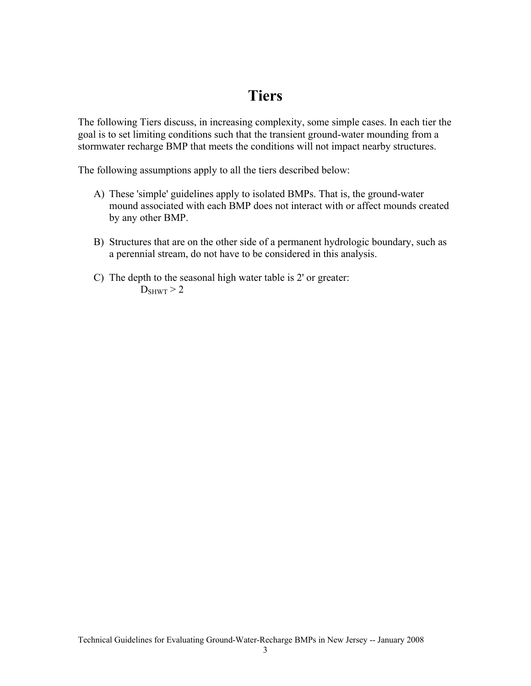## **Tiers**

The following Tiers discuss, in increasing complexity, some simple cases. In each tier the goal is to set limiting conditions such that the transient ground-water mounding from a stormwater recharge BMP that meets the conditions will not impact nearby structures.

The following assumptions apply to all the tiers described below:

- A) These 'simple' guidelines apply to isolated BMPs. That is, the ground-water mound associated with each BMP does not interact with or affect mounds created by any other BMP.
- B) Structures that are on the other side of a permanent hydrologic boundary, such as a perennial stream, do not have to be considered in this analysis.
- C) The depth to the seasonal high water table is 2' or greater:  $D<sub>SHWT</sub> > 2$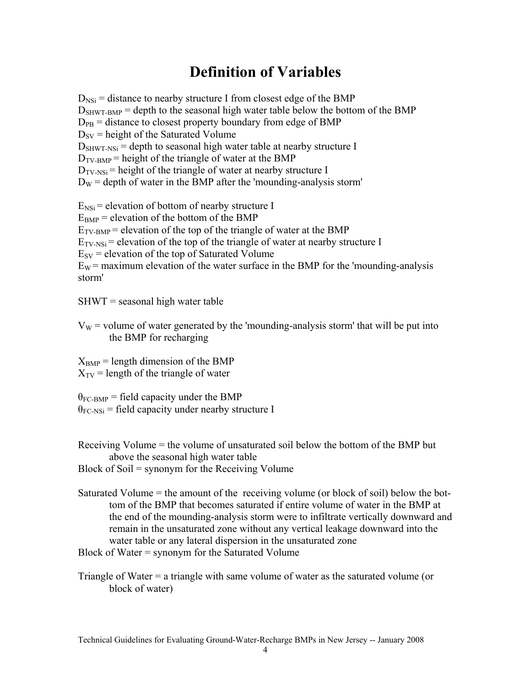# **Definition of Variables**

 $D_{\text{NSi}}$  = distance to nearby structure I from closest edge of the BMP  $D<sub>SHWT-BMP</sub>$  = depth to the seasonal high water table below the bottom of the BMP  $D_{PB}$  = distance to closest property boundary from edge of BMP  $D_{SV}$  = height of the Saturated Volume  $D_{SHWT-NSi}$  = depth to seasonal high water table at nearby structure I  $D_{TV-BMP}$  = height of the triangle of water at the BMP  $D_{TV-NSi}$  = height of the triangle of water at nearby structure I  $D_W$  = depth of water in the BMP after the 'mounding-analysis storm'  $E_{\text{NSi}}$  = elevation of bottom of nearby structure I

 $E_{\text{BMP}}$  = elevation of the bottom of the BMP  $E_{TV-BMP}$  = elevation of the top of the triangle of water at the BMP  $E_{TV-NSi}$  = elevation of the top of the triangle of water at nearby structure I  $E_{SV}$  = elevation of the top of Saturated Volume  $E_W$  = maximum elevation of the water surface in the BMP for the 'mounding-analysis storm'

 $SHWT =$  seasonal high water table

 $V_W$  = volume of water generated by the 'mounding-analysis storm' that will be put into the BMP for recharging

 $X_{BMP}$  = length dimension of the BMP  $X_{\text{TV}}$  = length of the triangle of water

 $\theta_{\text{FC-BMP}}$  = field capacity under the BMP  $\theta_{\text{FC-NSi}}$  = field capacity under nearby structure I

Receiving Volume = the volume of unsaturated soil below the bottom of the BMP but above the seasonal high water table Block of Soil = synonym for the Receiving Volume

Saturated Volume = the amount of the receiving volume (or block of soil) below the bottom of the BMP that becomes saturated if entire volume of water in the BMP at the end of the mounding-analysis storm were to infiltrate vertically downward and remain in the unsaturated zone without any vertical leakage downward into the water table or any lateral dispersion in the unsaturated zone

Block of Water = synonym for the Saturated Volume

Triangle of Water = a triangle with same volume of water as the saturated volume (or block of water)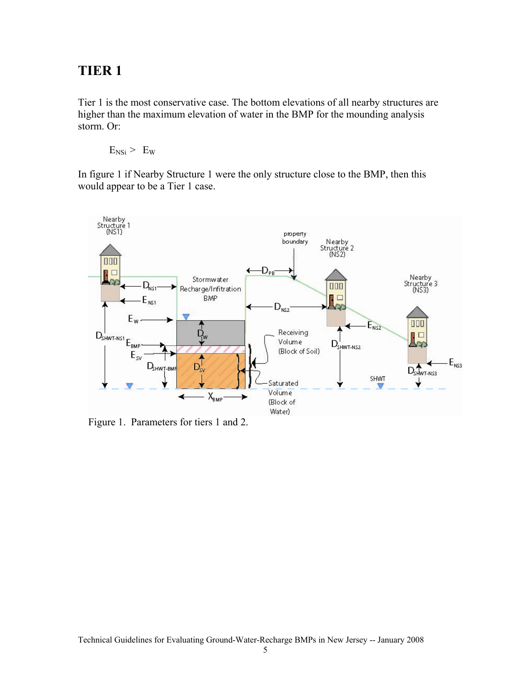#### **TIER 1**

Tier 1 is the most conservative case. The bottom elevations of all nearby structures are higher than the maximum elevation of water in the BMP for the mounding analysis storm. Or:

 $E_{NSi}$  >  $E_{W}$ 

In figure 1 if Nearby Structure 1 were the only structure close to the BMP, then this would appear to be a Tier 1 case.



Figure 1. Parameters for tiers 1 and 2.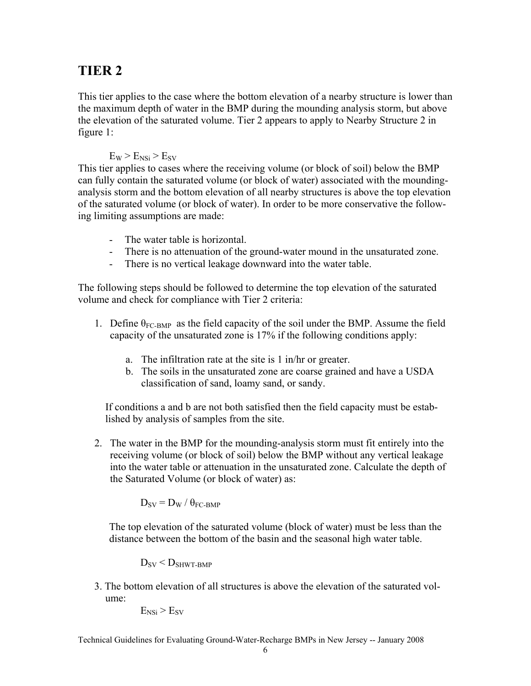### **TIER 2**

This tier applies to the case where the bottom elevation of a nearby structure is lower than the maximum depth of water in the BMP during the mounding analysis storm, but above the elevation of the saturated volume. Tier 2 appears to apply to Nearby Structure 2 in figure 1:

#### $E_W$  >  $E_{NSi}$  >  $E_{SV}$

This tier applies to cases where the receiving volume (or block of soil) below the BMP can fully contain the saturated volume (or block of water) associated with the moundinganalysis storm and the bottom elevation of all nearby structures is above the top elevation of the saturated volume (or block of water). In order to be more conservative the following limiting assumptions are made:

- The water table is horizontal.
- There is no attenuation of the ground-water mound in the unsaturated zone.
- There is no vertical leakage downward into the water table.

The following steps should be followed to determine the top elevation of the saturated volume and check for compliance with Tier 2 criteria:

- 1. Define  $\theta_{\text{FC-BMP}}$  as the field capacity of the soil under the BMP. Assume the field capacity of the unsaturated zone is 17% if the following conditions apply:
	- a. The infiltration rate at the site is 1 in/hr or greater.
	- b. The soils in the unsaturated zone are coarse grained and have a USDA classification of sand, loamy sand, or sandy.

If conditions a and b are not both satisfied then the field capacity must be established by analysis of samples from the site.

2. The water in the BMP for the mounding-analysis storm must fit entirely into the receiving volume (or block of soil) below the BMP without any vertical leakage into the water table or attenuation in the unsaturated zone. Calculate the depth of the Saturated Volume (or block of water) as:

 $D_{SV} = D_W / \theta_{FC-BMP}$ 

 The top elevation of the saturated volume (block of water) must be less than the distance between the bottom of the basin and the seasonal high water table.

$$
D_{\rm SV} \leq D_{\rm SHWT-BMP}
$$

3. The bottom elevation of all structures is above the elevation of the saturated volume:

 $E_{NSi}$  >  $E_{SV}$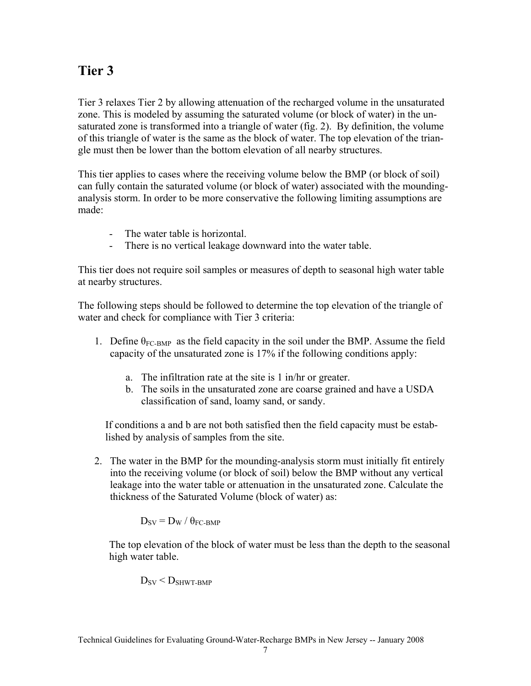### **Tier 3**

Tier 3 relaxes Tier 2 by allowing attenuation of the recharged volume in the unsaturated zone. This is modeled by assuming the saturated volume (or block of water) in the unsaturated zone is transformed into a triangle of water (fig. 2). By definition, the volume of this triangle of water is the same as the block of water. The top elevation of the triangle must then be lower than the bottom elevation of all nearby structures.

This tier applies to cases where the receiving volume below the BMP (or block of soil) can fully contain the saturated volume (or block of water) associated with the moundinganalysis storm. In order to be more conservative the following limiting assumptions are made:

- The water table is horizontal.
- There is no vertical leakage downward into the water table.

This tier does not require soil samples or measures of depth to seasonal high water table at nearby structures.

The following steps should be followed to determine the top elevation of the triangle of water and check for compliance with Tier 3 criteria:

- 1. Define  $\theta_{\text{FC-BMP}}$  as the field capacity in the soil under the BMP. Assume the field capacity of the unsaturated zone is 17% if the following conditions apply:
	- a. The infiltration rate at the site is 1 in/hr or greater.
	- b. The soils in the unsaturated zone are coarse grained and have a USDA classification of sand, loamy sand, or sandy.

If conditions a and b are not both satisfied then the field capacity must be established by analysis of samples from the site.

2. The water in the BMP for the mounding-analysis storm must initially fit entirely into the receiving volume (or block of soil) below the BMP without any vertical leakage into the water table or attenuation in the unsaturated zone. Calculate the thickness of the Saturated Volume (block of water) as:

 $D_{SV} = D_W / \theta_{FC-BMP}$ 

 The top elevation of the block of water must be less than the depth to the seasonal high water table.

$$
\rm D_{SV}\,{<}\,D_{SHWT\text{-}BMP}
$$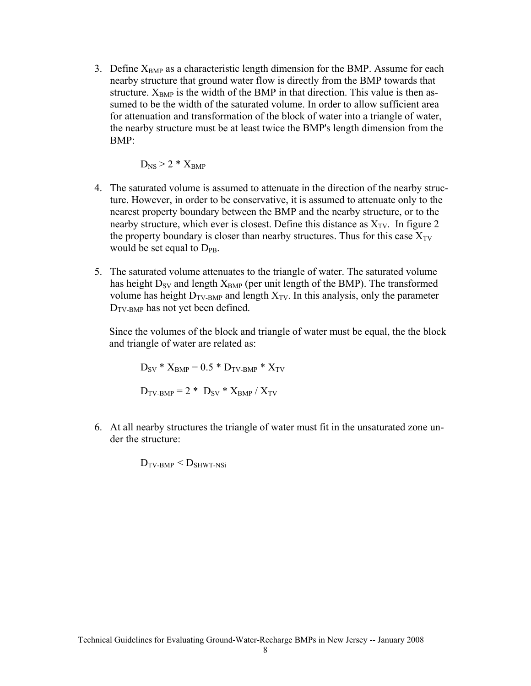3. Define  $X_{BMP}$  as a characteristic length dimension for the BMP. Assume for each nearby structure that ground water flow is directly from the BMP towards that structure.  $X_{BMP}$  is the width of the BMP in that direction. This value is then assumed to be the width of the saturated volume. In order to allow sufficient area for attenuation and transformation of the block of water into a triangle of water, the nearby structure must be at least twice the BMP's length dimension from the BMP:

 $D_{NS}$  > 2 \*  $X_{BMP}$ 

- 4. The saturated volume is assumed to attenuate in the direction of the nearby structure. However, in order to be conservative, it is assumed to attenuate only to the nearest property boundary between the BMP and the nearby structure, or to the nearby structure, which ever is closest. Define this distance as  $X_{\text{TV}}$ . In figure 2 the property boundary is closer than nearby structures. Thus for this case  $X_{TV}$ would be set equal to  $D_{PB}$ .
- 5. The saturated volume attenuates to the triangle of water. The saturated volume has height  $D_{SV}$  and length  $X_{BMP}$  (per unit length of the BMP). The transformed volume has height  $D_{TV-BMP}$  and length  $X_{TV}$ . In this analysis, only the parameter  $D_{TV-BMP}$  has not yet been defined.

Since the volumes of the block and triangle of water must be equal, the the block and triangle of water are related as:

 $D_{SV} * X_{BMP} = 0.5 * D_{TV-BMP} * X_{TV}$  $D_{\text{TV-RMP}} = 2 * D_{\text{SV}} * X_{\text{RMP}} / X_{\text{TV}}$ 

6. At all nearby structures the triangle of water must fit in the unsaturated zone under the structure:

 $D_{\text{TV-RMP}} < D_{\text{SHWT-NSi}}$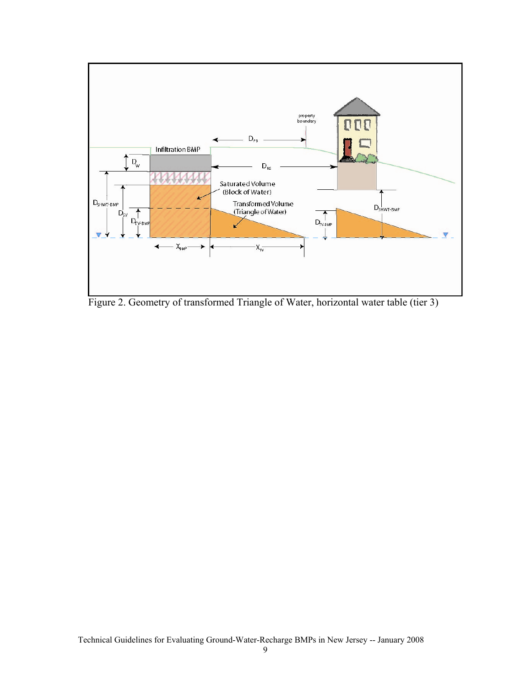

Figure 2. Geometry of transformed Triangle of Water, horizontal water table (tier 3)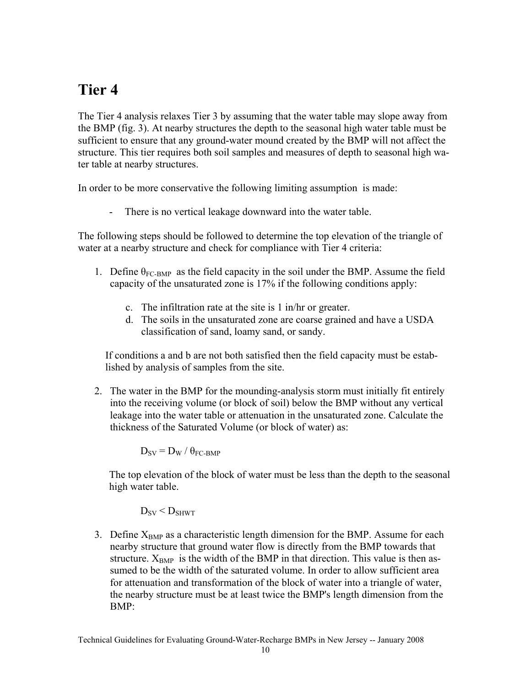# **Tier 4**

The Tier 4 analysis relaxes Tier 3 by assuming that the water table may slope away from the BMP (fig. 3). At nearby structures the depth to the seasonal high water table must be sufficient to ensure that any ground-water mound created by the BMP will not affect the structure. This tier requires both soil samples and measures of depth to seasonal high water table at nearby structures.

In order to be more conservative the following limiting assumption is made:

- There is no vertical leakage downward into the water table.

The following steps should be followed to determine the top elevation of the triangle of water at a nearby structure and check for compliance with Tier 4 criteria:

- 1. Define  $\theta_{\text{FC-BMP}}$  as the field capacity in the soil under the BMP. Assume the field capacity of the unsaturated zone is 17% if the following conditions apply:
	- c. The infiltration rate at the site is 1 in/hr or greater.
	- d. The soils in the unsaturated zone are coarse grained and have a USDA classification of sand, loamy sand, or sandy.

If conditions a and b are not both satisfied then the field capacity must be established by analysis of samples from the site.

2. The water in the BMP for the mounding-analysis storm must initially fit entirely into the receiving volume (or block of soil) below the BMP without any vertical leakage into the water table or attenuation in the unsaturated zone. Calculate the thickness of the Saturated Volume (or block of water) as:

 $D_{SV} = D_W / \theta_{FC-RMP}$ 

 The top elevation of the block of water must be less than the depth to the seasonal high water table.

 $D_{SV}$  <  $D_{SHWT}$ 

3. Define  $X_{BMP}$  as a characteristic length dimension for the BMP. Assume for each nearby structure that ground water flow is directly from the BMP towards that structure.  $X_{BMP}$  is the width of the BMP in that direction. This value is then assumed to be the width of the saturated volume. In order to allow sufficient area for attenuation and transformation of the block of water into a triangle of water, the nearby structure must be at least twice the BMP's length dimension from the BMP: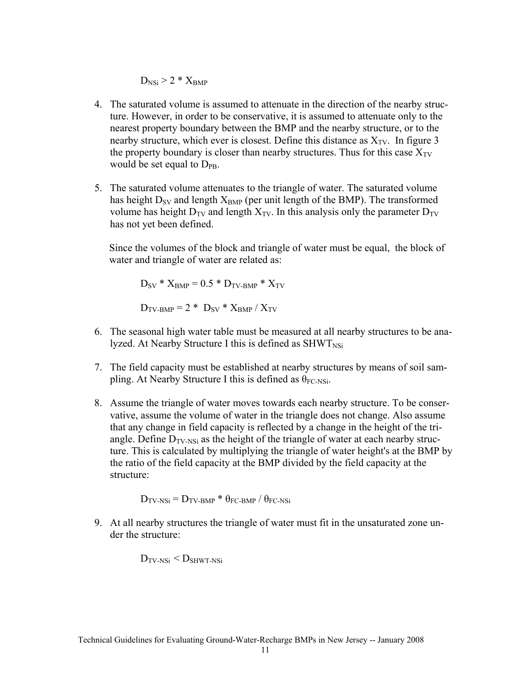$D_{NSi}$  > 2 \*  $X_{BMP}$ 

- 4. The saturated volume is assumed to attenuate in the direction of the nearby structure. However, in order to be conservative, it is assumed to attenuate only to the nearest property boundary between the BMP and the nearby structure, or to the nearby structure, which ever is closest. Define this distance as  $X_{\text{TV}}$ . In figure 3 the property boundary is closer than nearby structures. Thus for this case  $X_{TV}$ would be set equal to  $D_{PR}$ .
- 5. The saturated volume attenuates to the triangle of water. The saturated volume has height  $D_{SV}$  and length  $X_{BMP}$  (per unit length of the BMP). The transformed volume has height  $D_{TV}$  and length  $X_{TV}$ . In this analysis only the parameter  $D_{TV}$ has not yet been defined.

Since the volumes of the block and triangle of water must be equal, the block of water and triangle of water are related as:

 $D_{SV}$  \*  $X_{BMP}$  = 0.5 \*  $D_{TV-BMP}$  \*  $X_{TV}$  $D_{\text{TV-BMP}} = 2 * D_{\text{SV}} * X_{\text{BMP}} / X_{\text{TV}}$ 

- 6. The seasonal high water table must be measured at all nearby structures to be analyzed. At Nearby Structure I this is defined as  $SHWT<sub>NSi</sub>$
- 7. The field capacity must be established at nearby structures by means of soil sampling. At Nearby Structure I this is defined as  $\theta_{FC-NSi}$ .
- 8. Assume the triangle of water moves towards each nearby structure. To be conservative, assume the volume of water in the triangle does not change. Also assume that any change in field capacity is reflected by a change in the height of the triangle. Define  $D_{TV-NSi}$  as the height of the triangle of water at each nearby structure. This is calculated by multiplying the triangle of water height's at the BMP by the ratio of the field capacity at the BMP divided by the field capacity at the structure:

 $D_{\text{TV-NSi}} = D_{\text{TV-BMP}} * \theta_{\text{FC-BMP}} / \theta_{\text{FC-NSi}}$ 

9. At all nearby structures the triangle of water must fit in the unsaturated zone under the structure:

 $D_{TV-NSi} < D_{SHWT-NSi}$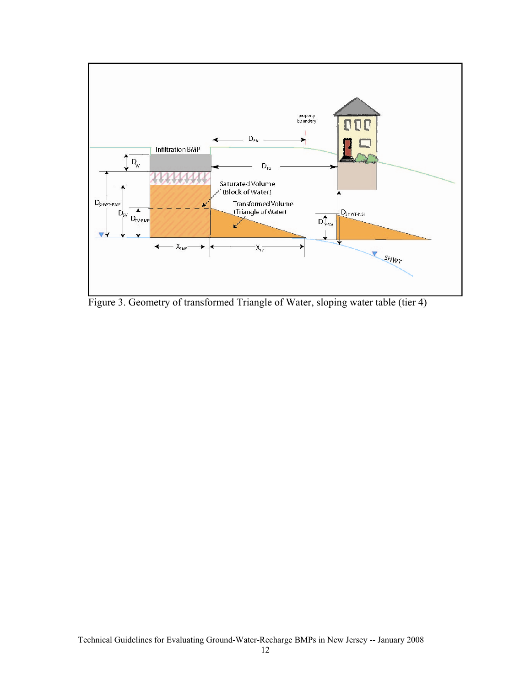

Figure 3. Geometry of transformed Triangle of Water, sloping water table (tier 4)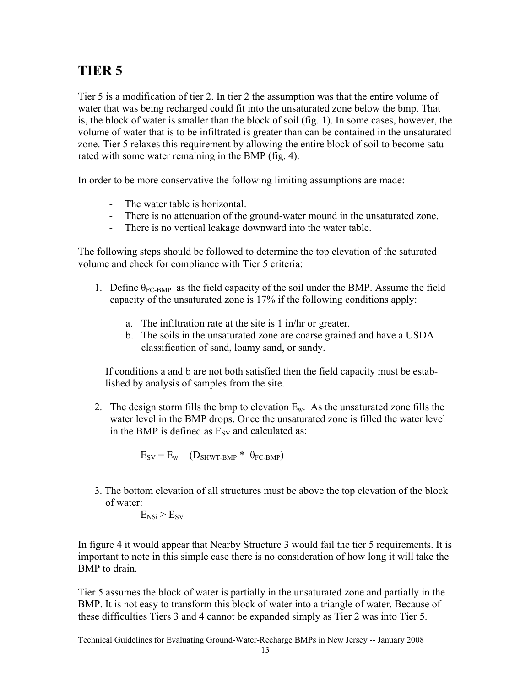## **TIER 5**

Tier 5 is a modification of tier 2. In tier 2 the assumption was that the entire volume of water that was being recharged could fit into the unsaturated zone below the bmp. That is, the block of water is smaller than the block of soil (fig. 1). In some cases, however, the volume of water that is to be infiltrated is greater than can be contained in the unsaturated zone. Tier 5 relaxes this requirement by allowing the entire block of soil to become saturated with some water remaining in the BMP (fig. 4).

In order to be more conservative the following limiting assumptions are made:

- The water table is horizontal.
- There is no attenuation of the ground-water mound in the unsaturated zone.
- There is no vertical leakage downward into the water table.

The following steps should be followed to determine the top elevation of the saturated volume and check for compliance with Tier 5 criteria:

- 1. Define  $\theta_{\text{FC-BMP}}$  as the field capacity of the soil under the BMP. Assume the field capacity of the unsaturated zone is 17% if the following conditions apply:
	- a. The infiltration rate at the site is 1 in/hr or greater.
	- b. The soils in the unsaturated zone are coarse grained and have a USDA classification of sand, loamy sand, or sandy.

If conditions a and b are not both satisfied then the field capacity must be established by analysis of samples from the site.

2. The design storm fills the bmp to elevation  $E_w$ . As the unsaturated zone fills the water level in the BMP drops. Once the unsaturated zone is filled the water level in the BMP is defined as  $E_{SV}$  and calculated as:

$$
E_{SV} = E_w - (D_{SHWT-BMP} * \theta_{FC-BMP})
$$

3. The bottom elevation of all structures must be above the top elevation of the block of water:

$$
E_{\rm NSi} \geq E_{\rm SV}
$$

In figure 4 it would appear that Nearby Structure 3 would fail the tier 5 requirements. It is important to note in this simple case there is no consideration of how long it will take the BMP to drain.

Tier 5 assumes the block of water is partially in the unsaturated zone and partially in the BMP. It is not easy to transform this block of water into a triangle of water. Because of these difficulties Tiers 3 and 4 cannot be expanded simply as Tier 2 was into Tier 5.

Technical Guidelines for Evaluating Ground-Water-Recharge BMPs in New Jersey -- January 2008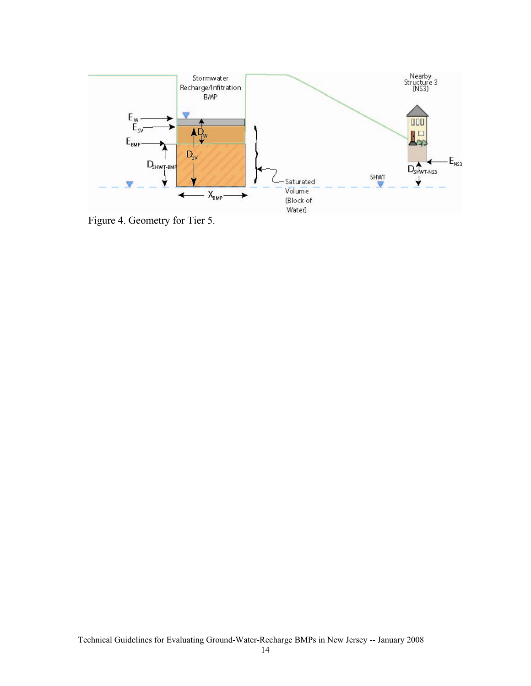

Figure 4. Geometry for Tier 5.